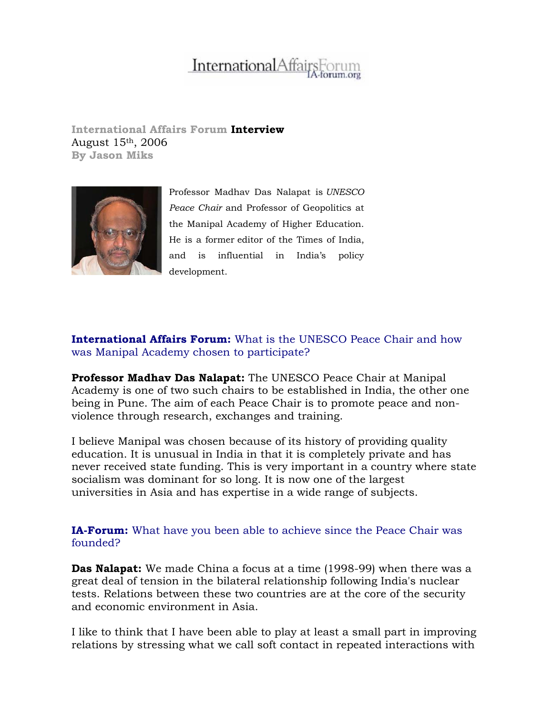# **InternationalAffai**

**International Affairs Forum Interview**  August 15th, 2006 **By Jason Miks** 



Professor Madhav Das Nalapat is *UNESCO Peace Chair* and Professor of Geopolitics at the Manipal Academy of Higher Education. He is a former editor of the Times of India, and is influential in India's policy development.

# **International Affairs Forum:** What is the UNESCO Peace Chair and how was Manipal Academy chosen to participate?

**Professor Madhav Das Nalapat:** The UNESCO Peace Chair at Manipal Academy is one of two such chairs to be established in India, the other one being in Pune. The aim of each Peace Chair is to promote peace and nonviolence through research, exchanges and training.

I believe Manipal was chosen because of its history of providing quality education. It is unusual in India in that it is completely private and has never received state funding. This is very important in a country where state socialism was dominant for so long. It is now one of the largest universities in Asia and has expertise in a wide range of subjects.

**IA-Forum:** What have you been able to achieve since the Peace Chair was founded?

**Das Nalapat:** We made China a focus at a time (1998-99) when there was a great deal of tension in the bilateral relationship following India's nuclear tests. Relations between these two countries are at the core of the security and economic environment in Asia.

I like to think that I have been able to play at least a small part in improving relations by stressing what we call soft contact in repeated interactions with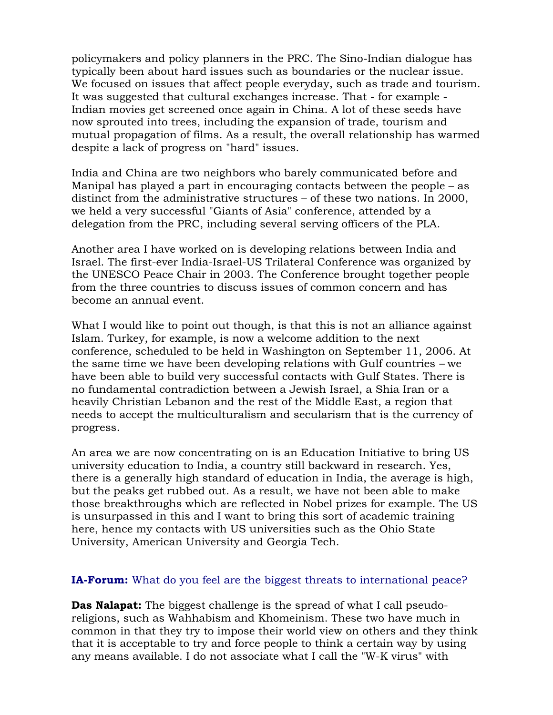policymakers and policy planners in the PRC. The Sino-Indian dialogue has typically been about hard issues such as boundaries or the nuclear issue. We focused on issues that affect people everyday, such as trade and tourism. It was suggested that cultural exchanges increase. That - for example - Indian movies get screened once again in China. A lot of these seeds have now sprouted into trees, including the expansion of trade, tourism and mutual propagation of films. As a result, the overall relationship has warmed despite a lack of progress on "hard" issues.

India and China are two neighbors who barely communicated before and Manipal has played a part in encouraging contacts between the people – as distinct from the administrative structures – of these two nations. In 2000, we held a very successful "Giants of Asia" conference, attended by a delegation from the PRC, including several serving officers of the PLA.

Another area I have worked on is developing relations between India and Israel. The first-ever India-Israel-US Trilateral Conference was organized by the UNESCO Peace Chair in 2003. The Conference brought together people from the three countries to discuss issues of common concern and has become an annual event.

What I would like to point out though, is that this is not an alliance against Islam. Turkey, for example, is now a welcome addition to the next conference, scheduled to be held in Washington on September 11, 2006. At the same time we have been developing relations with Gulf countries *–* we have been able to build very successful contacts with Gulf States. There is no fundamental contradiction between a Jewish Israel, a Shia Iran or a heavily Christian Lebanon and the rest of the Middle East, a region that needs to accept the multiculturalism and secularism that is the currency of progress.

An area we are now concentrating on is an Education Initiative to bring US university education to India, a country still backward in research. Yes, there is a generally high standard of education in India, the average is high, but the peaks get rubbed out. As a result, we have not been able to make those breakthroughs which are reflected in Nobel prizes for example. The US is unsurpassed in this and I want to bring this sort of academic training here, hence my contacts with US universities such as the Ohio State University, American University and Georgia Tech.

## **IA-Forum:** What do you feel are the biggest threats to international peace?

**Das Nalapat:** The biggest challenge is the spread of what I call pseudoreligions, such as Wahhabism and Khomeinism. These two have much in common in that they try to impose their world view on others and they think that it is acceptable to try and force people to think a certain way by using any means available. I do not associate what I call the "W-K virus" with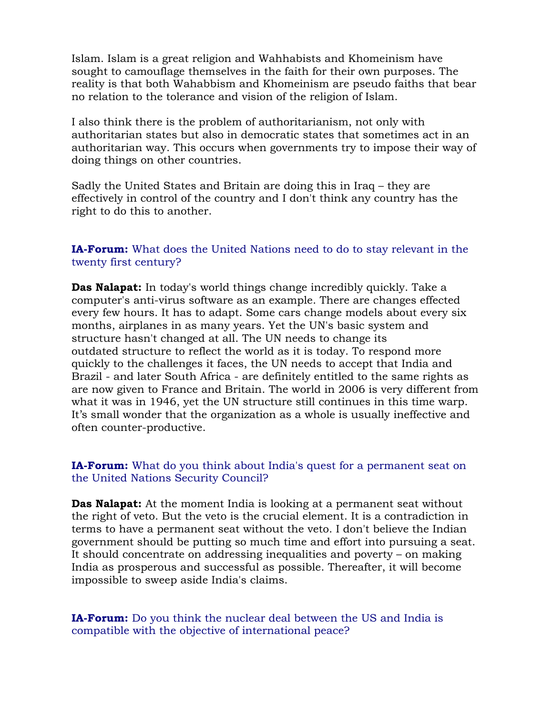Islam. Islam is a great religion and Wahhabists and Khomeinism have sought to camouflage themselves in the faith for their own purposes. The reality is that both Wahabbism and Khomeinism are pseudo faiths that bear no relation to the tolerance and vision of the religion of Islam.

I also think there is the problem of authoritarianism, not only with authoritarian states but also in democratic states that sometimes act in an authoritarian way. This occurs when governments try to impose their way of doing things on other countries.

Sadly the United States and Britain are doing this in Iraq – they are effectively in control of the country and I don't think any country has the right to do this to another.

#### **IA-Forum:** What does the United Nations need to do to stay relevant in the twenty first century?

**Das Nalapat:** In today's world things change incredibly quickly. Take a computer's anti-virus software as an example. There are changes effected every few hours. It has to adapt. Some cars change models about every six months, airplanes in as many years. Yet the UN's basic system and structure hasn't changed at all. The UN needs to change its outdated structure to reflect the world as it is today. To respond more quickly to the challenges it faces, the UN needs to accept that India and Brazil - and later South Africa - are definitely entitled to the same rights as are now given to France and Britain. The world in 2006 is very different from what it was in 1946, yet the UN structure still continues in this time warp. It's small wonder that the organization as a whole is usually ineffective and often counter-productive.

## **IA-Forum:** What do you think about India's quest for a permanent seat on the United Nations Security Council?

**Das Nalapat:** At the moment India is looking at a permanent seat without the right of veto. But the veto is the crucial element. It is a contradiction in terms to have a permanent seat without the veto. I don't believe the Indian government should be putting so much time and effort into pursuing a seat. It should concentrate on addressing inequalities and poverty – on making India as prosperous and successful as possible. Thereafter, it will become impossible to sweep aside India's claims.

**IA-Forum:** Do you think the nuclear deal between the US and India is compatible with the objective of international peace?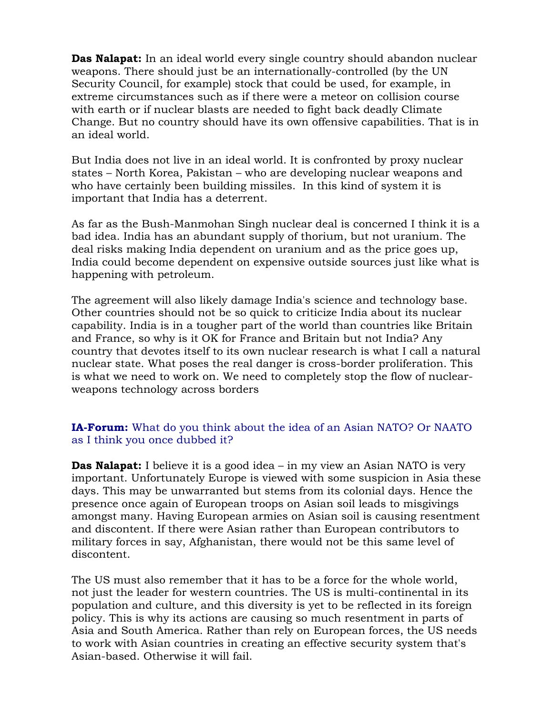**Das Nalapat:** In an ideal world every single country should abandon nuclear weapons. There should just be an internationally-controlled (by the UN Security Council, for example) stock that could be used, for example, in extreme circumstances such as if there were a meteor on collision course with earth or if nuclear blasts are needed to fight back deadly Climate Change. But no country should have its own offensive capabilities. That is in an ideal world.

But India does not live in an ideal world. It is confronted by proxy nuclear states – North Korea, Pakistan – who are developing nuclear weapons and who have certainly been building missiles. In this kind of system it is important that India has a deterrent.

As far as the Bush-Manmohan Singh nuclear deal is concerned I think it is a bad idea. India has an abundant supply of thorium, but not uranium. The deal risks making India dependent on uranium and as the price goes up, India could become dependent on expensive outside sources just like what is happening with petroleum.

The agreement will also likely damage India's science and technology base. Other countries should not be so quick to criticize India about its nuclear capability. India is in a tougher part of the world than countries like Britain and France, so why is it OK for France and Britain but not India? Any country that devotes itself to its own nuclear research is what I call a natural nuclear state. What poses the real danger is cross-border proliferation. This is what we need to work on. We need to completely stop the flow of nuclearweapons technology across borders

# **IA-Forum:** What do you think about the idea of an Asian NATO? Or NAATO as I think you once dubbed it?

**Das Nalapat:** I believe it is a good idea – in my view an Asian NATO is very important. Unfortunately Europe is viewed with some suspicion in Asia these days. This may be unwarranted but stems from its colonial days. Hence the presence once again of European troops on Asian soil leads to misgivings amongst many. Having European armies on Asian soil is causing resentment and discontent. If there were Asian rather than European contributors to military forces in say, Afghanistan, there would not be this same level of discontent.

The US must also remember that it has to be a force for the whole world, not just the leader for western countries. The US is multi-continental in its population and culture, and this diversity is yet to be reflected in its foreign policy. This is why its actions are causing so much resentment in parts of Asia and South America. Rather than rely on European forces, the US needs to work with Asian countries in creating an effective security system that's Asian-based. Otherwise it will fail.